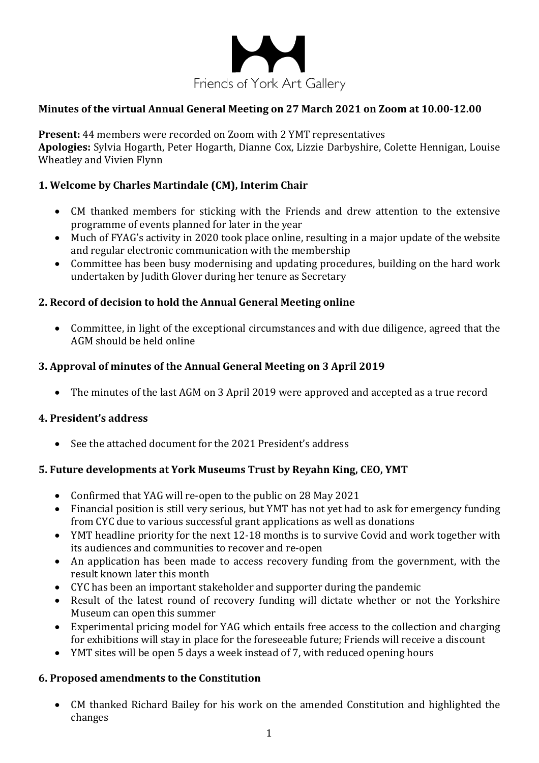

### **Minutes of the virtual Annual General Meeting on 27 March 2021 on Zoom at 10.00-12.00**

**Present:** 44 members were recorded on Zoom with 2 YMT representatives Apologies: Sylvia Hogarth, Peter Hogarth, Dianne Cox, Lizzie Darbyshire, Colette Hennigan, Louise Wheatley and Vivien Flynn

### **1. Welcome by Charles Martindale (CM), Interim Chair**

- CM thanked members for sticking with the Friends and drew attention to the extensive programme of events planned for later in the year
- Much of FYAG's activity in 2020 took place online, resulting in a major update of the website and regular electronic communication with the membership
- Committee has been busy modernising and updating procedures, building on the hard work undertaken by Judith Glover during her tenure as Secretary

### **2. Record of decision to hold the Annual General Meeting online**

• Committee, in light of the exceptional circumstances and with due diligence, agreed that the AGM should be held online

### **3. Approval of minutes of the Annual General Meeting on 3 April 2019**

• The minutes of the last AGM on 3 April 2019 were approved and accepted as a true record

### **4. President's address**

 $\bullet$  See the attached document for the 2021 President's address

### **5. Future developments at York Museums Trust by Reyahn King, CEO, YMT**

- Confirmed that YAG will re-open to the public on 28 May 2021
- Financial position is still very serious, but YMT has not yet had to ask for emergency funding from CYC due to various successful grant applications as well as donations
- YMT headline priority for the next 12-18 months is to survive Covid and work together with its audiences and communities to recover and re-open
- An application has been made to access recovery funding from the government, with the result known later this month
- CYC has been an important stakeholder and supporter during the pandemic
- Result of the latest round of recovery funding will dictate whether or not the Yorkshire Museum can open this summer
- Experimental pricing model for YAG which entails free access to the collection and charging for exhibitions will stay in place for the foreseeable future; Friends will receive a discount
- YMT sites will be open 5 days a week instead of 7, with reduced opening hours

### **6. Proposed amendments to the Constitution**

• CM thanked Richard Bailey for his work on the amended Constitution and highlighted the changes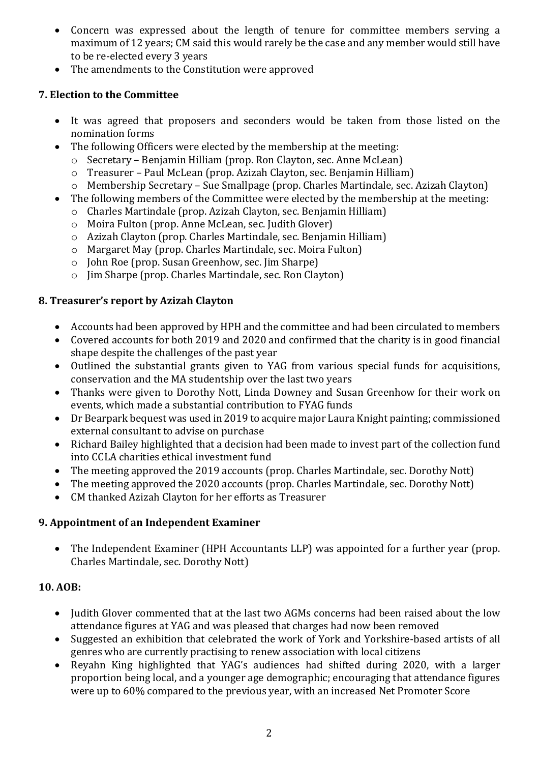- Concern was expressed about the length of tenure for committee members serving a maximum of 12 years; CM said this would rarely be the case and any member would still have to be re-elected every 3 years
- The amendments to the Constitution were approved

## **7. Election to the Committee**

- It was agreed that proposers and seconders would be taken from those listed on the nomination forms
- The following Officers were elected by the membership at the meeting:
	- $\circ$  Secretary Benjamin Hilliam (prop. Ron Clayton, sec. Anne McLean)
	- o Treasurer Paul McLean (prop. Azizah Clayton, sec. Benjamin Hilliam)
	- $\circ$  Membership Secretary Sue Smallpage (prop. Charles Martindale, sec. Azizah Clayton)
- The following members of the Committee were elected by the membership at the meeting:
	- $\circ$  Charles Martindale (prop. Azizah Clayton, sec. Benjamin Hilliam)
	- $\circ$  Moira Fulton (prop. Anne McLean, sec. Judith Glover)
	- $\circ$  Azizah Clayton (prop. Charles Martindale, sec. Benjamin Hilliam)
	- o Margaret May (prop. Charles Martindale, sec. Moira Fulton)
	- $\circ$  John Roe (prop. Susan Greenhow, sec. Jim Sharpe)
	- $\circ$  Jim Sharpe (prop. Charles Martindale, sec. Ron Clayton)

## **8. Treasurer's report by Azizah Clayton**

- Accounts had been approved by HPH and the committee and had been circulated to members
- Covered accounts for both 2019 and 2020 and confirmed that the charity is in good financial shape despite the challenges of the past year
- Outlined the substantial grants given to YAG from various special funds for acquisitions, conservation and the MA studentship over the last two years
- Thanks were given to Dorothy Nott, Linda Downey and Susan Greenhow for their work on events, which made a substantial contribution to FYAG funds
- Dr Bearpark bequest was used in 2019 to acquire major Laura Knight painting; commissioned external consultant to advise on purchase
- Richard Bailey highlighted that a decision had been made to invest part of the collection fund into CCLA charities ethical investment fund
- The meeting approved the 2019 accounts (prop. Charles Martindale, sec. Dorothy Nott)
- The meeting approved the 2020 accounts (prop. Charles Martindale, sec. Dorothy Nott)
- CM thanked Azizah Clayton for her efforts as Treasurer

# **9. Appointment of an Independent Examiner**

• The Independent Examiner (HPH Accountants LLP) was appointed for a further year (prop. Charles Martindale, sec. Dorothy Nott)

# **10.** AOB:

- Iudith Glover commented that at the last two AGMs concerns had been raised about the low attendance figures at YAG and was pleased that charges had now been removed
- Suggested an exhibition that celebrated the work of York and Yorkshire-based artists of all genres who are currently practising to renew association with local citizens
- Revahn King highlighted that YAG's audiences had shifted during 2020, with a larger proportion being local, and a younger age demographic; encouraging that attendance figures were up to 60% compared to the previous year, with an increased Net Promoter Score